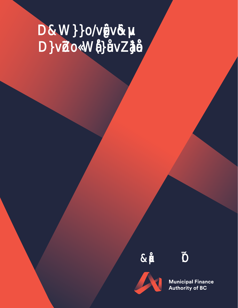

**Municipal Finance<br>Authority of BC**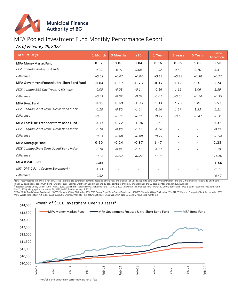

# MFA Pooled Investment Fund Monthly Performance Report<sup>1</sup>

## *As of February 28, 2022*

| Total Retum (%)                              | 1 Month | 3 Months | <b>YTD</b> | 1 Year  | 3 Years        | 5 Years                  | Since<br>Inception <sup>2</sup> |
|----------------------------------------------|---------|----------|------------|---------|----------------|--------------------------|---------------------------------|
| <b>MFA Money Market Fund</b>                 | 0.02    | 0.06     | 0.04       | 0.16    | 0.85           | 1.08                     | 3.58                            |
| FTSE Canada 30-day T-Bill Index              | 0.00    | $-0.01$  | 0.00       | $-0.02$ | 0.57           | 0.70                     | 3.31                            |
| <b>Difference</b>                            | $+0.02$ | $+0.07$  | $+0.04$    | $+0.18$ | $+0.28$        | $+0.38$                  | $+0.27$                         |
| MFA Government Focused Ultra-Short Bond Fund | $-0.04$ | $-0.17$  | $-0.23$    | $-0.17$ | 1.17           | 1.30                     | 3.24                            |
| FTSE Canada 365-Day Treasury Bill Index      | $-0.05$ | $-0.08$  | $-0.14$    | $-0.16$ | 1.12           | 1.06                     | 2.89                            |
| Difference                                   | $+0.01$ | $-0.09$  | $-0.09$    | $-0.01$ | $+0.05$        | $+0.24$                  | $+0.35$                         |
| <b>MFA Bond Fund</b>                         | $-0.15$ | $-0.69$  | $-1.03$    | $-1.14$ | 2.23           | 1.80                     | 5.52                            |
| FTSE Canada Short Term Overall Bond Index    | $-0.18$ | $-0.80$  | $-1.14$    | $-1.56$ | 1.57           | 1.33                     | 5.21                            |
| Difference                                   | $+0.03$ | $+0.11$  | $+0.11$    | $+0.42$ | $+0.66$        | $+0.47$                  | $+0.31$                         |
| MFA Fossil Fuel Free Short-term Bond Fund    | $-0.17$ | $-0.72$  | $-1.06$    | $-1.29$ | $\blacksquare$ | $\overline{\phantom{a}}$ | 0.32                            |
| FTSE Canada Short Term Overall Bond Index    | $-0.18$ | $-0.80$  | $-1.14$    | $-1.56$ |                | $\blacksquare$           | $-0.22$                         |
| Difference                                   | $+0.01$ | $+0.08$  | $+0.08$    | $+0.27$ |                |                          | $+0.54$                         |
| MFA Mortgage Fund                            | 0.10    | $-0.24$  | $-0.87$    | 1.47    |                |                          | 2.25                            |
| FTSE Canada Short Term Overall Bond Index    | $-0.18$ | $-0.81$  | $-1.15$    | $-1.61$ |                |                          | 0.79                            |
| Difference                                   | $+0.28$ | $+0.57$  | $+0.27$    | $+3.08$ |                |                          | $+1.46$                         |
| <b>MFA DMAC Fund</b>                         | $-1.85$ |          |            |         |                |                          | $-1.86$                         |
| MFA DMAC Fund Custom Benchmark <sup>3</sup>  | $-1.33$ |          |            |         | $\overline{a}$ |                          | $-1.39$                         |
| Difference                                   | $-0.52$ |          |            |         |                |                          | $-0.47$                         |

1 Total return less than one year is not annualized. Portfolio and benchmark performance is net of total fees and expenses of 12.5 basis points per annum (Money Market Fund and Government Focused Ultra-Short Bond

Fund), 20 basis points per annum (Bond Fund and Fossil Fuel Free Short-term Bond Fund), and 25 basis points per annum (Mortgage Fund), and 33 basis points per annum (DMAC Fund). ,<br><sup>2</sup>Inception dates: Money Market Fund – May 1, 1989; Government Focused Ultra-Short Bond Fund –May 18, 2020 (previously Intermediate Fund - March 30, 1994); Bond Fund – May 1, 1989, Fossil Fuel Free Bond Fund –

May 5, 2020; Mortgage Fund– January 29, 2020; DMAC Fund – January 19, 2022.<br><sup>3</sup>MFA DMAC Fund Custom Benchmark: 2% FTSE Canada 30Day T-Bill Index, 15% FTSE Canada Short Term Overall Bond Index, 16% FTSE Canada 91 Day T-Bill MSCI World Total Return Net Index (CAD), 12% MSCI Emerging Markets Total Return Net Index, 3% Canadian CPI (Non-Seasonally Adjusted) 1-month lag.

#### \$14,000 Growth of \$10K Investment Over 10 Years\*



\*Portfolio and benchmark performance is net of fees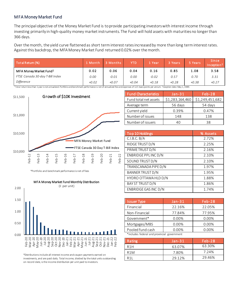#### MFA Money Market Fund

The principal objective of the Money Market Fund is to provide participating investors with interest income through investing primarily in high-quality money market instruments. The Fund will hold assets with maturities no longer than 366 days.

Over the month, the yield curve flattened as short term interest rates increased by more than long term interest rates. Against this backdrop, the MFA Money Market Fund returned 0.02% over the month.

| Total Return (%)                   | 1 Month | 3 Months | YTD     | Year    | 3 Years | 5 Years | <b>Since</b><br>Inception <sup>2</sup> |
|------------------------------------|---------|----------|---------|---------|---------|---------|----------------------------------------|
| MFA Money Market Fund <sup>1</sup> | 0.02    | 0.06     | 0.04    | 0.16    | 0.85    | 1.08    | 3.58                                   |
| FTSE Canada 30-day T-Bill Index    | 0.00    | $-0.01$  | 0.00    | $-0.02$ | 0.57    | 0.70    | 3.31                                   |
| <b>Difference</b>                  | $+0.02$ | $+0.07$  | $+0.04$ | $+0.18$ | $+0.28$ | $+0.38$ | $+0.27$                                |

 $^1$  Total returnlessthan 1 year is not annualized. Portfolio and benchmark performance is net of annualized fee and expenses of 12.5 basis points per annum. <sup>2</sup>Inception date: May 1, 1989.



| <b>Fund Characteristics</b> | $Jan-31$        | $Feb-28$        |
|-----------------------------|-----------------|-----------------|
| Fund total net assets       | \$1,283,164,460 | \$1,249,451,682 |
| Average term                | 56 days         | 54 days         |
| Current yield               | 0.39%           | 0.47%           |
| Number of issues            | 148             | 138             |
| Number of issuers           |                 | 38              |

| Top 10 Holdings         | % Assets |
|-------------------------|----------|
| C.I.B.C.B/A             | 2.72%    |
| RIDGE TRUST D/N         | 2.25%    |
| PRIME TRUST D/N         | 2.16%    |
| ENBRIDGE PPLINC D/N     | 2.10%    |
| SOUND TRUST D/N         | 2.10%    |
| TRANSCANADA PIPE D/N    | 1.97%    |
| <b>BANNER TRUST D/N</b> | 1.95%    |
| HYDRO OTTAWA HLD D/N    | 1.88%    |
| <b>BAY ST TRUST D/N</b> | 1.86%    |
| ENBRIDGE GAS INC D/N    | 1.74%    |



Oct-20 Nov-20 Dec-20 Jan-21 Feb-21 Mar-21

\*Portfolio and benchmark performance is net of fees

| <b>Issuer Type</b>                          | $Jan-31$ | $Feb-28$ |
|---------------------------------------------|----------|----------|
| Financial                                   | 22.16%   | 22.05%   |
| Non-Financial                               | 77.84%   | 77.95%   |
| Government*                                 | 0.00%    | 0.00%    |
| Mortgages/MBS                               | 0.00%    | 0.00%    |
| Pooled fund cash                            | $0.00\%$ | $0.00\%$ |
| *includes federal and provincial government |          |          |

includes federal and provincial government

| Rating           | $Jan-31$ | IFeb-28' |
|------------------|----------|----------|
| R <sub>1</sub> H | 63.07%   | 63.30%   |
| R <sub>1</sub> M | 7.80%    | 7.24%    |
| R <sub>1</sub>   | 29.12%   | 29.46%   |

\*Distributions include all interest income and coupon payments earned on investments, and are paid daily. Total income, divided by the total units outstanding on record date, is the income distribution per unit paid to investors.

Apr-21 May-21 Jun-21

Jul-21<br>Jug-21 **Aug-21**<br>Sep-21  $5e<sub>0</sub>$ Oct-21 Nov-21 Dec-21 Jan-22 Feb-22

Feb-20 Mar-20 Apr-20 May-20 Jun-20 Jul-20 Aug-20 Sep-20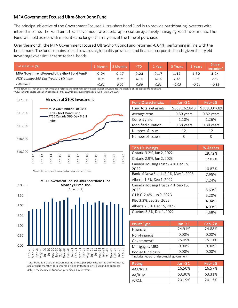#### MFA Government Focused Ultra-Short Bond Fund

The principal objective of the Government Focused Ultra-short Bond Fund is to provide participating investors with interest income. The Fund aims to achieve moderate capital appreciation by actively managing Fund investments. The Fund will hold assets with maturities no longer than 2 years at the time of purchase.

Over the month, the MFA Government Focused Ultra-Short Bond Fund returned -0.04%, performing in line with the benchmark. The fund remains biased towards high-quality provincial and financial corporate bonds given their yield advantage over similar term federal bonds.

| Total Return (%)                                          | L Month | 3 Months | <b>YTD</b> | Z Year  | 3 Years | 5 Years | <b>Since</b><br>Inception <sup>2</sup> |
|-----------------------------------------------------------|---------|----------|------------|---------|---------|---------|----------------------------------------|
| MFA Government Focused Ultra-Short Bond Fund <sup>1</sup> | $-0.04$ | $-0.17$  | $-0.23$    | $-0.17$ | 1.17    | 1.30    | 3.24                                   |
| FTSE Canada 365-Day Treasury Bill Index                   | $-0.05$ | $-0.08$  | $-0.14$    | $-0.16$ | 1.12    | 1.06    | 2.89                                   |
| Difference                                                | $+0.01$ | $-0.09$  | $-0.09$    | $-0.01$ | $+0.05$ | $+0.24$ | $+0.35$                                |

<sup>2</sup> Government Focused Ultra-Short Bond Fund – May 18, 2020 (previously Intermediate Fund - March 30, 1994)



\*Portfolio and benchmark performance is net of fees



\*Distributions include all interest income and coupon payments earned on investments, and are paid monthly. Total income, divided by the total units outstanding on record date, is the income distribution per unit paid to investors.

| <b>Fund Characteristics</b> | $Jan-31$      | $Feb-28$      |
|-----------------------------|---------------|---------------|
| Fund total net assets       | \$309,162,840 | \$309,034,689 |
| Average term                | 0.89 years    | 0.82 years    |
| Current yield               | 1.10%         | 1.26%         |
| Modified duration           | 0.88 years    | 0.80 years    |
| Number of issues            | 12            | 12            |
| Number of issuers           |               |               |

| Top 10 Holdings                       | % Assets |
|---------------------------------------|----------|
| Ontario 3.2%, Jun 2, 2022             | 29.72%   |
| Ontario 2.9%, Jun 2, 2023             | 12.07%   |
| Canada Housing Trust 2.4%, Dec 15,    |          |
| 2022                                  | 10.87%   |
| Bank of Nova Scotia 2.4%, May 1, 2023 | 7.95%    |
| Alberta 1.6%, Sep 1, 2022             | 7.24%    |
| Canada Housing Trust 2.4%, Sep 15,    |          |
| 2023                                  | 5.63%    |
| C.I.B.C. 2.4%, Jun 9, 2023            | 5.20%    |
| RBC 3.3%, Sep 26, 2023                | 4.94%    |
| Alberta 2.6%, Dec 15, 2022            | 4.93%    |
| Quebec 3.5%, Dec 1, 2022              | 4.59%    |

| <b>Issuer Type</b> | $Jan-31$                                    | $Feb-28$ |  |  |  |
|--------------------|---------------------------------------------|----------|--|--|--|
| Financial          | 24.91%                                      | 24.88%   |  |  |  |
| Non-Financial      | 0.00%                                       | 0.00%    |  |  |  |
| Government*        | 75.09%                                      | 75.11%   |  |  |  |
| Mortgages/MBS      | 0.00%                                       | 0.00%    |  |  |  |
| Pooled fund cash   | 0.00%                                       | 0.00%    |  |  |  |
|                    | *includes federal and provincial government |          |  |  |  |

| Rating  | $Jan-31$ | $Feb-28$ |
|---------|----------|----------|
| AAA/R1H | 16.50%   | 16.57%   |
| AA/R1M  | 63.30%   | 63.31%   |
| A/R11   | 20.19%   | 20.13%   |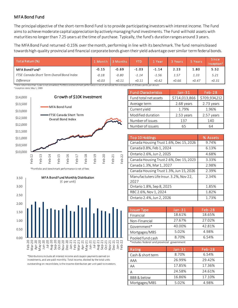### MFA Bond Fund

The principal objective of the short-term Bond Fund is to provide participating investors with interest income. The Fund aims to achieve moderate capital appreciation by actively managing Fund investments. The Fund will hold assets with maturities no longer than 7.25 years at the time of purchase. Typically, the fund's duration ranges around 3 years.

The MFA Bond Fund returned -0.15% over the month, performing in line with its benchmark. The fund remains biased towards high-quality provincial and financial corporate bonds given their yield advantage over similar term federal bonds.

| Total Retum (%)                                                                                                                                        | Month   | <b>Months</b> | YTD     | Year    | 3 Years | 5 Years | Since<br>Inception $^2$ |
|--------------------------------------------------------------------------------------------------------------------------------------------------------|---------|---------------|---------|---------|---------|---------|-------------------------|
| MFA Bond Fund <sup>1</sup>                                                                                                                             | $-0.15$ | $-0.69$       | $-1.03$ | $-1.14$ | 2.23    | 1.80    | 5.52                    |
| FTSE Canada Short Term Overall Bond Index                                                                                                              | $-0.18$ | $-0.80$       | $-1.14$ | $-1.56$ | 1.57    | 1.33    | 5.21                    |
| Difference                                                                                                                                             | $+0.03$ | $+0.11$       | $+0.11$ | $+0.42$ | $+0.66$ | $+0.47$ | $+0.31$                 |
| Total returnlessthan 1 year is not annualized. Portfolio and benchmark performance is net of annualized fee and expenses of 20 basis points per annum. |         |               |         |         |         |         |                         |

<sup>3</sup> Inception date: May 1, 1989



\*Portfolio and benchmark performance is net of fees



\*Distributions include all interest income and coupon payments earned on investments, and are paid monthly. Total income, divided by the total units outstanding on record date, is the income distribution per unit paid to investors.

| <b>Fund Characteristics</b> | Jan-31        | $Feb-28$      |
|-----------------------------|---------------|---------------|
| Fund total net assets       | \$714,013,866 | \$709,934,212 |
| Average term                | 2.68 years    | 2.73 years    |
| Current yield               | 1.79%         | 1.96%         |
| Modified duration           | 2.53 years    | 2.57 years    |
| Number of issues            | 137           | 140           |
| Number of issuers           | 65            | 64            |

| Top 10 Holdings                         | % Assets |
|-----------------------------------------|----------|
| Canada Housing Trust 1.6%, Dec 15, 2026 | 9.74%    |
| Canada 0.8%, Feb 1, 2024                | 6.13%    |
| Ontario 2.6%, Jun 2, 2025               | 4.68%    |
| Canada Housing Trust 2.6%, Dec 15, 2023 | 3.33%    |
| Canada 1.3%, Mar 1, 2027                | 2.98%    |
| Canada Housing Trust 1.3%, Jun 15, 2026 | 2.39%    |
| Manufactuters Life Insur. 3.2%, Nov 22, | 2.34%    |
| 2027                                    |          |
| Ontario 1.8%, Sep 8, 2025               | 1.85%    |
| RBC 2.6%, Nov 1, 2024                   | 1.82%    |
| Ontario 2.4%, Jun 2, 2026               | 1.73%    |

| <b>Issuer Type</b>                          | $Jan-31$ | $Feb-28$ |  |  |  |  |
|---------------------------------------------|----------|----------|--|--|--|--|
| Financial                                   | 18.61%   | 18.65%   |  |  |  |  |
| Non-Financial                               | 27.67%   | 27.02%   |  |  |  |  |
| Government*                                 | 40.00%   | 42.81%   |  |  |  |  |
| Mortgages/MBS                               | 5.02%    | 4.98%    |  |  |  |  |
| Pooled fund cash                            | 8.70%    | 6.54%    |  |  |  |  |
| *includes federal and provincial government |          |          |  |  |  |  |

| Rating            | $Jan-31$ | $Feb-28$ |
|-------------------|----------|----------|
| Cash & short term | 8.70%    | 6.54%    |
| AAA               | 26.99%   | 29.42%   |
| AA                | 17.85%   | 17.36%   |
| Д                 | 24.58%   | 24.61%   |
| BBB & below       | 16.86%   | 17.10%   |
| Mortgages/MBS     | 5.02%    | 4.98%    |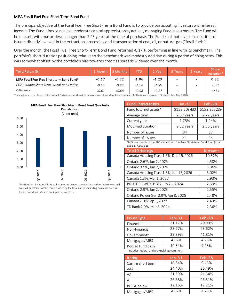#### MFA Fossil Fuel Free Short Term Bond Fund

The principal objective of the Fossil Fuel Free Short-Term Bond Fund is to provide participating investors with interest income. The Fund aims to achieve moderate capital appreciation by actively managing Fund investments. The Fund will hold assets with maturities no longer than 7.25 years at the time of purchase. The Fund shall not invest in securities of Issuers directly involved in the extraction, processing and transportation of coal, oil, or natural gas ("fossil fuels").

Over the month, the Fossil Fuel Free Short-Term Bond Fund returned -0.17%, performing in line with its benchmark. The portfolio's short duration positioning relative to the benchmark was modestly additive during a period of rising rates. This was somewhat offset by the portfolio's bias towards credit as spreads widened over the month.

| Total Retum (%)                                                                                                                                                                                 | 1 Month | 3 Months | YTD     | l Year  | 3 Years | 5 Years | <b>Since</b><br>Inception <sup>2</sup> |
|-------------------------------------------------------------------------------------------------------------------------------------------------------------------------------------------------|---------|----------|---------|---------|---------|---------|----------------------------------------|
| MFA Fossil Fuel Free Short-term Bond Fund <sup>1</sup>                                                                                                                                          | $-0.17$ | $-0.72$  | $-1.06$ | $-1.29$ |         |         | 0.32                                   |
| FTSE Canada Short Term Overall Bond Index                                                                                                                                                       | $-0.18$ | $-0.80$  | $-1.14$ | $-1.56$ |         |         | $-0.22$                                |
| Difference                                                                                                                                                                                      | $+0.01$ | $+0.08$  | $+0.08$ | $+0.27$ |         |         | $+0.54$                                |
| Total returnlessthan 1 year is not annualized. Portfolio and benchmark performance is net of annualized fee and expenses of 20 basis points per annum. <sup>2</sup> Inception date: May 5, 2020 |         |          |         |         |         |         |                                        |



\*Distributions include all interest income and coupon payments earned on investments, and are paid quarterly. Total income, divided by the total units outstanding on record date, is the income distribution per unit paid to investors.

| <b>Fund Characteristics</b> | $Jan-31$      | $Feb-28$      |
|-----------------------------|---------------|---------------|
| Fund total net assets*      | \$158,508,430 | \$158,226,239 |
| Average term                | 2.67 years    | 2.72 years    |
| Current yield               | 1.75%         | 1.94%         |
| Modified duration           | 2.52 years    | 2.56 years    |
| Number of issues            | 84            | 87            |
| Number of issuers           | 41            | 44            |

\*MFA owns units of the RBC Vision Fossil Fuel Free Short-term Bond Fund (total size \$277,566,615)

| Top 10 Holdings                         | % Assets |
|-----------------------------------------|----------|
| Canada Housing Trust 1.6%, Dec 15, 2026 | 10.32%   |
| Ontario 2.6%, Jun 2, 2025               | 4.58%    |
| Ontario 3.5%, Jun 2, 2024               | 3.36%    |
| Canada Housing Trust 1.3%, Jun 15, 2026 | 3.02%    |
| Canada 1.3%, Mar 1, 2027                | 2.93%    |
| BRUCE POWER LP 3%, Jun 21, 2024         | 2.69%    |
| Ontario 2.9%, Jun 2, 2023               | 2.55%    |
| Ontario Power Gen 2.9%, Apr 8, 2025     | 2.48%    |
| Canada 2.0% Sep 1, 2023                 | 2.43%    |
| TD Bank 2.9%, Mar 8, 2024               | 2.36%    |

| <b>Issuer Type</b>                          | $Jan-31$ | $Feb-28$ |  |  |  |  |  |
|---------------------------------------------|----------|----------|--|--|--|--|--|
| Financial                                   | 21.17%   | 20.90%   |  |  |  |  |  |
| Non-Financial                               | 23.77%   | 23.62%   |  |  |  |  |  |
| Government*                                 | 39.89%   | 41.81%   |  |  |  |  |  |
| Mortgages/MBS                               | 4.32%    | 4.23%    |  |  |  |  |  |
| Pooled fund cash                            | 10.84%   | 9.43%    |  |  |  |  |  |
| *includes federal and provincial government |          |          |  |  |  |  |  |

Rating Jan-31 Feb-28 Cash & short term 10.84% 9.43% AAA 24.40% 26.49% AA 21.59% 21.34% A 26.68% 26.31% BBB & below 12.16% 12.21% Mortgages/MBS 4.32% 4.23%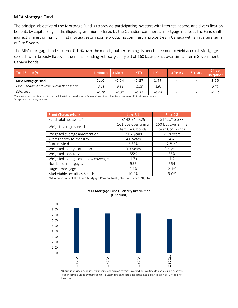#### MFA Mortgage Fund

The principal objective of the Mortgage Fund is to provide participating investors with interest income, and diversification benefits by capitalizing on the illiquidity premium offered by the Canadian commercial mortgage markets. The Fund shall indirectly invest primarily in first mortgages on income producing commercial properties in Canada with an average term of 2 to 5 years.

The MFA mortgage fund returned 0.10% over the month, outperforming its benchmark due to yield accrual. Mortgage spreads were broadly flat over the month, ending February at a yield of 160 basis points over similar-term Government of Canada bonds.

| Total Retum (%)                           | 1 Month | ا Months I | <b>YTD</b> | 1 Year  | 3 Years                  | 5 Years                  | <b>Since</b><br>Inception <sup>2</sup> |
|-------------------------------------------|---------|------------|------------|---------|--------------------------|--------------------------|----------------------------------------|
| MFA Mortgage Fund <sup>1</sup>            | 0.10    | $-0.24$    | $-0.87$    | 1.47    | $\overline{\phantom{0}}$ | $\overline{\phantom{0}}$ | 2.25                                   |
| FTSE Canada Short Term Overall Bond Index | $-0.18$ | $-0.81$    | $-1.15$    | $-1.61$ | $\overline{\phantom{0}}$ | $\overline{\phantom{0}}$ | 0.79                                   |
| Difference                                | $+0.28$ | $+0.57$    | $+0.27$    | $+3.08$ | $\blacksquare$           | $\,$                     | $+1.46$                                |

<sup>1</sup>Total return less than 1 year is not annualized. Portfolio and benchmark performance is net of annualized fee and expenses of 25 basis points per annum. 2 Inception date: January 29, 2020

| <b>Fund Characteristics</b>         | $Jan-31$                               | <b>Feb-28</b>                          |
|-------------------------------------|----------------------------------------|----------------------------------------|
| Fund total net assets*              | \$142,549,525                          | \$142,715,583                          |
| Weight average spread               | 161 bps over similar<br>term GoC bonds | 160 bps over similar<br>term GoC bonds |
| Weighted average amortization       | 21.7 years                             | 21.8 years                             |
| Average term-to-maturity            | 4.0 years                              | 4.4                                    |
| Current yield                       | 2.68%                                  | 2.81%                                  |
| Weighted average duration           | 3.3 years                              | 3.4 years                              |
| Weighted loan-to-value              | 55%                                    | 55%                                    |
| Weighted average cash flow coverage | 1.7x                                   | 1.7                                    |
| Number of mortgages                 | 555                                    | 554                                    |
| Largest mortgage                    | 2.1%                                   | 2.1%                                   |
| Marketable securities & cash        | 10.9%                                  | 9.0%                                   |

\*MFA owns units of the PH&N Mortgage Pension Trust (total size \$5,027,594,814)



#### **MFA Mortgage Fund Quarterly Distribution**

(¢ per unit)

\*Distributions include all interest income and coupon payments earned on investments, and are paid quarterly. Total income, divided by the total units outstanding on record date, is the income distribution per unit paid to investors.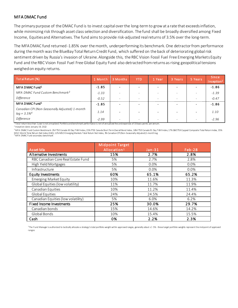#### MFA DMAC Fund

The primary purpose of the DMAC Fund is to invest capital over the long-term to grow at a rate that exceeds inflation, while minimizing risk through asset class selection and diversification. The fund shall be broadly diversified among Fixed Income, Equities and Alternatives. The fund aims to provide risk-adjusted real returns of 3.5% over the long-term.

The MFA DMAC fund returned -1.85% over the month, underperforming its benchmark. One detractor from performance during the month was the BlueBay Total Return Credit Fund, which suffered on the back of deteriorating global risk sentiment driven by Russia's invasion of Ukraine. Alongside this, the RBC Vision Fossil Fuel Free Emerging Markets Equity Fund and the RBC Vision Fossil Fuel Free Global Equity Fund also detracted from returns as rising geopolitical tensions weighed on equity returns.

| Total Retum (%)                                                  | 1 Month | 3 Months                 | <b>YTD</b>               | 1 Year                   | 3 Years                  | 5 Years                  | <b>Since</b><br>Inception <sup>2</sup> |
|------------------------------------------------------------------|---------|--------------------------|--------------------------|--------------------------|--------------------------|--------------------------|----------------------------------------|
| MFA DMAC Fund <sup>1</sup>                                       | $-1.85$ | $\overline{\phantom{0}}$ |                          |                          |                          |                          | $-1.86$                                |
| MFA DMAC Fund Custom Benchmark <sup>3</sup>                      | $-1.33$ |                          |                          |                          |                          | $\overline{\phantom{a}}$ | $-1.39$                                |
| Difference                                                       | $-0.52$ | $\overline{\phantom{a}}$ | $\overline{\phantom{0}}$ | $\overline{\phantom{0}}$ | $\overline{\phantom{0}}$ | $\overline{\phantom{a}}$ | $-0.47$                                |
| MFA DMAC Fund <sup>1</sup>                                       | $-1.85$ | $\sim$                   |                          |                          |                          |                          | $-1.86$                                |
| Canadian CPI (Non-Seasonally Adjusted) 1-month<br>$lag + 3.5\%4$ | 1.14    |                          |                          |                          |                          | $\blacksquare$           | 1.10                                   |
| Difference                                                       | $-2.99$ | $\overline{\phantom{0}}$ |                          |                          |                          | $\overline{\phantom{a}}$ | $-2.96$                                |

<sup>1</sup>Total return less than 1 year is not annualized. Portfolio and benchmark performance is net of annualized fee and expenses of 33 basis points per annum.

<sup>2</sup> Inception date: January 19, 2022

<sup>3</sup> MFA DMAC Fund Custom Benchmark: 2% FTSE Canada 30 Day T-Bill Index, 15% FTSE Canada Short Term Overall Bond Index, 16% FTSE Canada 91 Day T-Bill Index, 17% S&P/TSX Capped Composite Total Return Index, 35% MSCI World Total Retum Net Index (CAD), 12% MSCI Emerging Markets Total Retum Net Index, 3% Canadian CPI (Non-Seasonally Adjusted) 1-month lag.<br><sup>4</sup> MFA DMAC Fund secondary benchmark

| <b>Asset Mix</b>                   | <b>Midpoint Target</b><br>Allocation <sup>1</sup> | $Jan-31$ | <b>Feb-28</b> |
|------------------------------------|---------------------------------------------------|----------|---------------|
| Alternative Investments            | 15%                                               | 2.7%     | 2.8%          |
| RBC Canadian Core Real Estate Fund | 5%                                                | 2.7%     | 2.8%          |
| High Yield Mortgages               | 5%                                                | 0.0%     | 0.0%          |
| Infrastructure                     | 5%                                                | 0.0%     | 0.0%          |
| Equity Investments                 | 60%                                               | 65.1%    | 65.2%         |
| <b>Emerging Market Equity</b>      | 10%                                               | 11.6%    | 11.3%         |
| Global Equities (low volatility)   | 11%                                               | 11.7%    | 11.9%         |
| Canadian Equities                  | 10%                                               | 11.2%    | 11.4%         |
| Global Equities                    | 24%                                               | 24.5%    | 24.4%         |
| Canadian Equities (low volatility) | 5%                                                | 6.0%     | 6.2%          |
| <b>Fixed Income Investments</b>    | 25%                                               | 30.0%    | 29.7%         |
| Canadian bonds                     | 15%                                               | 14.6%    | 14.2%         |
| Global Bonds                       | 10%                                               | 15.4%    | 15.5%         |
| Cash                               | 0%                                                | 2.2%     | 2.3%          |

1 The Fund Manager is authorized to tactically allocate a strategy's total portfolio weight within approved ranges, generally about +/- 5% - these target portfolio weights represent the mid-point of approved ranges